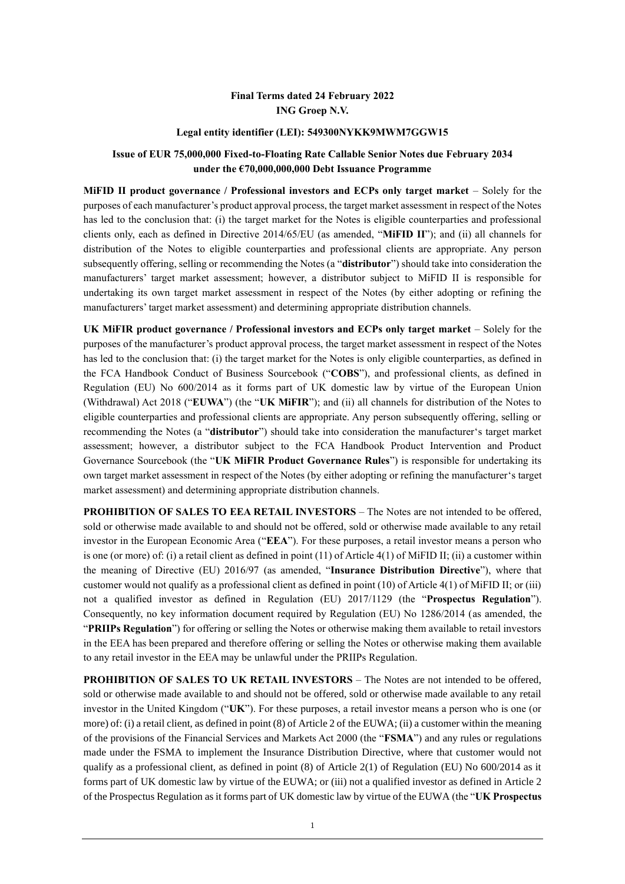#### **Final Terms dated 24 February 2022 ING Groep N.V.**

#### **Legal entity identifier (LEI): 549300NYKK9MWM7GGW15**

#### **Issue of EUR 75,000,000 Fixed-to-Floating Rate Callable Senior Notes due February 2034 under the €70,000,000,000 Debt Issuance Programme**

**MiFID II product governance / Professional investors and ECPs only target market** – Solely for the purposes of each manufacturer's product approval process, the target market assessment in respect of the Notes has led to the conclusion that: (i) the target market for the Notes is eligible counterparties and professional clients only, each as defined in Directive 2014/65/EU (as amended, "**MiFID II**"); and (ii) all channels for distribution of the Notes to eligible counterparties and professional clients are appropriate. Any person subsequently offering, selling or recommending the Notes (a "**distributor**") should take into consideration the manufacturers' target market assessment; however, a distributor subject to MiFID II is responsible for undertaking its own target market assessment in respect of the Notes (by either adopting or refining the manufacturers' target market assessment) and determining appropriate distribution channels.

**UK MiFIR product governance / Professional investors and ECPs only target market** – Solely for the purposes of the manufacturer's product approval process, the target market assessment in respect of the Notes has led to the conclusion that: (i) the target market for the Notes is only eligible counterparties, as defined in the FCA Handbook Conduct of Business Sourcebook ("**COBS**"), and professional clients, as defined in Regulation (EU) No 600/2014 as it forms part of UK domestic law by virtue of the European Union (Withdrawal) Act 2018 ("**EUWA**") (the "**UK MiFIR**"); and (ii) all channels for distribution of the Notes to eligible counterparties and professional clients are appropriate. Any person subsequently offering, selling or recommending the Notes (a "**distributor**") should take into consideration the manufacturer's target market assessment; however, a distributor subject to the FCA Handbook Product Intervention and Product Governance Sourcebook (the "**UK MiFIR Product Governance Rules**") is responsible for undertaking its own target market assessment in respect of the Notes (by either adopting or refining the manufacturer's target market assessment) and determining appropriate distribution channels.

**PROHIBITION OF SALES TO EEA RETAIL INVESTORS** – The Notes are not intended to be offered, sold or otherwise made available to and should not be offered, sold or otherwise made available to any retail investor in the European Economic Area ("**EEA**"). For these purposes, a retail investor means a person who is one (or more) of: (i) a retail client as defined in point (11) of Article 4(1) of MiFID II; (ii) a customer within the meaning of Directive (EU) 2016/97 (as amended, "**Insurance Distribution Directive**"), where that customer would not qualify as a professional client as defined in point (10) of Article 4(1) of MiFID II; or (iii) not a qualified investor as defined in Regulation (EU) 2017/1129 (the "**Prospectus Regulation**"). Consequently, no key information document required by Regulation (EU) No 1286/2014 (as amended, the "**PRIIPs Regulation**") for offering or selling the Notes or otherwise making them available to retail investors in the EEA has been prepared and therefore offering or selling the Notes or otherwise making them available to any retail investor in the EEA may be unlawful under the PRIIPs Regulation.

**PROHIBITION OF SALES TO UK RETAIL INVESTORS** – The Notes are not intended to be offered, sold or otherwise made available to and should not be offered, sold or otherwise made available to any retail investor in the United Kingdom ("**UK**"). For these purposes, a retail investor means a person who is one (or more) of: (i) a retail client, as defined in point (8) of Article 2 of the EUWA; (ii) a customer within the meaning of the provisions of the Financial Services and Markets Act 2000 (the "**FSMA**") and any rules or regulations made under the FSMA to implement the Insurance Distribution Directive, where that customer would not qualify as a professional client, as defined in point (8) of Article 2(1) of Regulation (EU) No 600/2014 as it forms part of UK domestic law by virtue of the EUWA; or (iii) not a qualified investor as defined in Article 2 of the Prospectus Regulation as it forms part of UK domestic law by virtue of the EUWA (the "**UK Prospectus**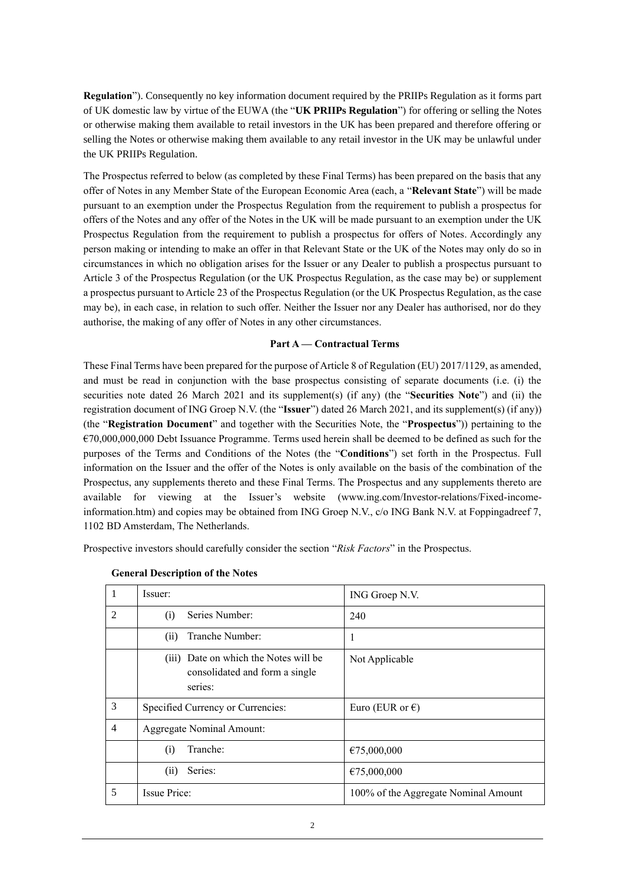**Regulation**"). Consequently no key information document required by the PRIIPs Regulation as it forms part of UK domestic law by virtue of the EUWA (the "**UK PRIIPs Regulation**") for offering or selling the Notes or otherwise making them available to retail investors in the UK has been prepared and therefore offering or selling the Notes or otherwise making them available to any retail investor in the UK may be unlawful under the UK PRIIPs Regulation.

The Prospectus referred to below (as completed by these Final Terms) has been prepared on the basis that any offer of Notes in any Member State of the European Economic Area (each, a "**Relevant State**") will be made pursuant to an exemption under the Prospectus Regulation from the requirement to publish a prospectus for offers of the Notes and any offer of the Notes in the UK will be made pursuant to an exemption under the UK Prospectus Regulation from the requirement to publish a prospectus for offers of Notes. Accordingly any person making or intending to make an offer in that Relevant State or the UK of the Notes may only do so in circumstances in which no obligation arises for the Issuer or any Dealer to publish a prospectus pursuant to Article 3 of the Prospectus Regulation (or the UK Prospectus Regulation, as the case may be) or supplement a prospectus pursuant to Article 23 of the Prospectus Regulation (or the UK Prospectus Regulation, as the case may be), in each case, in relation to such offer. Neither the Issuer nor any Dealer has authorised, nor do they authorise, the making of any offer of Notes in any other circumstances.

#### **Part A — Contractual Terms**

These Final Terms have been prepared for the purpose of Article 8 of Regulation (EU) 2017/1129, as amended, and must be read in conjunction with the base prospectus consisting of separate documents (i.e. (i) the securities note dated 26 March 2021 and its supplement(s) (if any) (the "**Securities Note**") and (ii) the registration document of ING Groep N.V. (the "**Issuer**") dated 26 March 2021, and its supplement(s) (if any)) (the "**Registration Document**" and together with the Securities Note, the "**Prospectus**")) pertaining to the  $\epsilon$ 70,000,000,000 Debt Issuance Programme. Terms used herein shall be deemed to be defined as such for the purposes of the Terms and Conditions of the Notes (the "**Conditions**") set forth in the Prospectus. Full information on the Issuer and the offer of the Notes is only available on the basis of the combination of the Prospectus, any supplements thereto and these Final Terms. The Prospectus and any supplements thereto are available for viewing at the Issuer's website (www.ing.com/Investor-relations/Fixed-incomeinformation.htm) and copies may be obtained from ING Groep N.V., c/o ING Bank N.V. at Foppingadreef 7, 1102 BD Amsterdam, The Netherlands.

Prospective investors should carefully consider the section "*Risk Factors*" in the Prospectus.

| 1              | Issuer:                                                                            | ING Groep N.V.                       |
|----------------|------------------------------------------------------------------------------------|--------------------------------------|
| $\overline{c}$ | Series Number:<br>(i)                                                              | 240                                  |
|                | Tranche Number:<br>(i)                                                             | $\mathbf{I}$                         |
|                | (iii) Date on which the Notes will be<br>consolidated and form a single<br>series: | Not Applicable                       |
| 3              | Specified Currency or Currencies:                                                  | Euro (EUR or $\epsilon$ )            |
| 4              | <b>Aggregate Nominal Amount:</b>                                                   |                                      |
|                | Tranche:<br>(i)                                                                    | €75,000,000                          |
|                | Series:<br>(i)                                                                     | €75,000,000                          |
| 5              | <b>Issue Price:</b>                                                                | 100% of the Aggregate Nominal Amount |

| <b>General Description of the Notes</b> |  |
|-----------------------------------------|--|
|-----------------------------------------|--|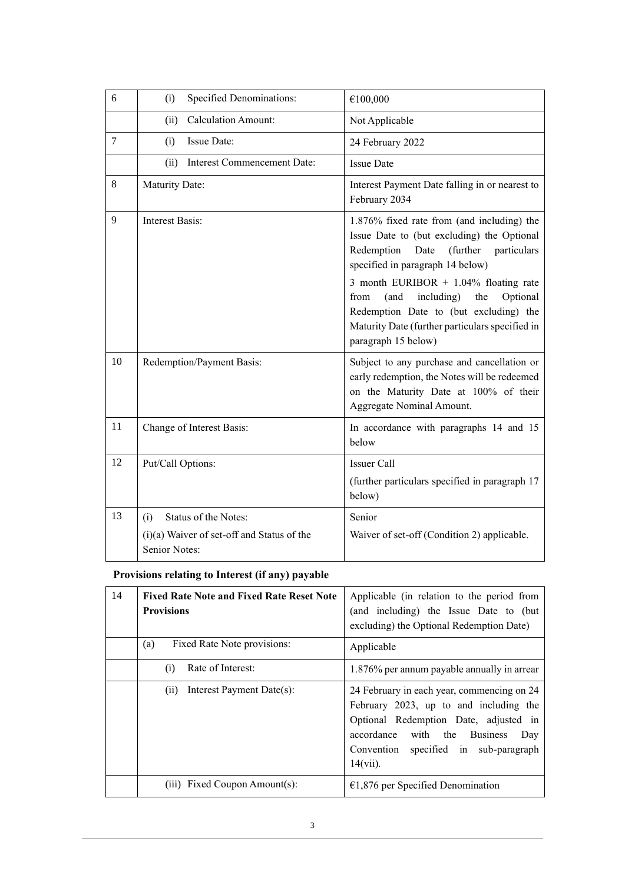| 6      | Specified Denominations:<br>(i)                                                              | €100,000                                                                                                                                                                                                                                                                                                                                                                                      |
|--------|----------------------------------------------------------------------------------------------|-----------------------------------------------------------------------------------------------------------------------------------------------------------------------------------------------------------------------------------------------------------------------------------------------------------------------------------------------------------------------------------------------|
|        | <b>Calculation Amount:</b><br>(ii)                                                           | Not Applicable                                                                                                                                                                                                                                                                                                                                                                                |
| $\tau$ | Issue Date:<br>(i)                                                                           | 24 February 2022                                                                                                                                                                                                                                                                                                                                                                              |
|        | Interest Commencement Date:<br>(ii)                                                          | <b>Issue Date</b>                                                                                                                                                                                                                                                                                                                                                                             |
| 8      | Maturity Date:                                                                               | Interest Payment Date falling in or nearest to<br>February 2034                                                                                                                                                                                                                                                                                                                               |
| 9      | <b>Interest Basis:</b>                                                                       | 1.876% fixed rate from (and including) the<br>Issue Date to (but excluding) the Optional<br>Redemption<br>(further<br>Date<br>particulars<br>specified in paragraph 14 below)<br>3 month EURIBOR $+$ 1.04% floating rate<br>including)<br>Optional<br>from<br>(and<br>the<br>Redemption Date to (but excluding) the<br>Maturity Date (further particulars specified in<br>paragraph 15 below) |
| 10     | Redemption/Payment Basis:                                                                    | Subject to any purchase and cancellation or<br>early redemption, the Notes will be redeemed<br>on the Maturity Date at 100% of their<br>Aggregate Nominal Amount.                                                                                                                                                                                                                             |
| 11     | Change of Interest Basis:                                                                    | In accordance with paragraphs 14 and 15<br>below                                                                                                                                                                                                                                                                                                                                              |
| 12     | Put/Call Options:                                                                            | <b>Issuer Call</b><br>(further particulars specified in paragraph 17<br>below)                                                                                                                                                                                                                                                                                                                |
| 13     | Status of the Notes:<br>(i)<br>$(i)(a)$ Waiver of set-off and Status of the<br>Senior Notes: | Senior<br>Waiver of set-off (Condition 2) applicable.                                                                                                                                                                                                                                                                                                                                         |

# **Provisions relating to Interest (if any) payable**

| 14 | <b>Fixed Rate Note and Fixed Rate Reset Note</b><br><b>Provisions</b> | Applicable (in relation to the period from<br>(and including) the Issue Date to (but<br>excluding) the Optional Redemption Date)                                                                                             |
|----|-----------------------------------------------------------------------|------------------------------------------------------------------------------------------------------------------------------------------------------------------------------------------------------------------------------|
|    | Fixed Rate Note provisions:<br>(a)                                    | Applicable                                                                                                                                                                                                                   |
|    | Rate of Interest:<br>(i)                                              | 1.876% per annum payable annually in arrear                                                                                                                                                                                  |
|    | Interest Payment Date(s):<br>(ii)                                     | 24 February in each year, commencing on 24<br>February 2023, up to and including the<br>Optional Redemption Date, adjusted in<br>accordance with the Business<br>Day<br>Convention specified in sub-paragraph<br>$14(vii)$ . |
|    | (iii) Fixed Coupon Amount(s):                                         | $€1,876$ per Specified Denomination                                                                                                                                                                                          |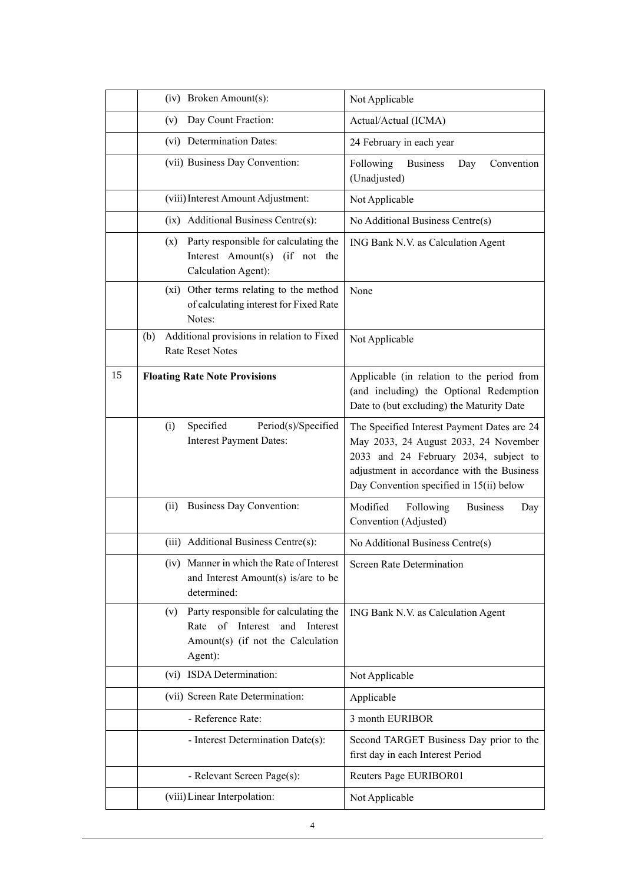|    | (iv) Broken Amount(s):                                                                                                                    | Not Applicable                                                                                                                                                                                                          |
|----|-------------------------------------------------------------------------------------------------------------------------------------------|-------------------------------------------------------------------------------------------------------------------------------------------------------------------------------------------------------------------------|
|    | Day Count Fraction:<br>(v)                                                                                                                | Actual/Actual (ICMA)                                                                                                                                                                                                    |
|    | (vi) Determination Dates:                                                                                                                 | 24 February in each year                                                                                                                                                                                                |
|    | (vii) Business Day Convention:                                                                                                            | Following<br><b>Business</b><br>Convention<br>Day<br>(Unadjusted)                                                                                                                                                       |
|    | (viii) Interest Amount Adjustment:                                                                                                        | Not Applicable                                                                                                                                                                                                          |
|    | (ix) Additional Business Centre(s):                                                                                                       | No Additional Business Centre(s)                                                                                                                                                                                        |
|    | Party responsible for calculating the<br>(X)<br>Interest Amount(s) (if not the<br>Calculation Agent):                                     | ING Bank N.V. as Calculation Agent                                                                                                                                                                                      |
|    | (xi) Other terms relating to the method<br>of calculating interest for Fixed Rate<br>Notes:                                               | None                                                                                                                                                                                                                    |
|    | Additional provisions in relation to Fixed<br>(b)<br><b>Rate Reset Notes</b>                                                              | Not Applicable                                                                                                                                                                                                          |
| 15 | <b>Floating Rate Note Provisions</b>                                                                                                      | Applicable (in relation to the period from<br>(and including) the Optional Redemption<br>Date to (but excluding) the Maturity Date                                                                                      |
|    | Specified<br>Period(s)/Specified<br>(i)<br><b>Interest Payment Dates:</b>                                                                 | The Specified Interest Payment Dates are 24<br>May 2033, 24 August 2033, 24 November<br>2033 and 24 February 2034, subject to<br>adjustment in accordance with the Business<br>Day Convention specified in 15(ii) below |
|    | <b>Business Day Convention:</b><br>(ii)                                                                                                   | Modified<br>Following<br><b>Business</b><br>Day<br>Convention (Adjusted)                                                                                                                                                |
|    | (iii) Additional Business Centre(s):                                                                                                      | No Additional Business Centre(s)                                                                                                                                                                                        |
|    | (iv) Manner in which the Rate of Interest<br>and Interest Amount(s) is/are to be<br>determined:                                           | <b>Screen Rate Determination</b>                                                                                                                                                                                        |
|    | Party responsible for calculating the<br>(v)<br>Interest<br>Rate<br>of<br>and<br>Interest<br>Amount(s) (if not the Calculation<br>Agent): | ING Bank N.V. as Calculation Agent                                                                                                                                                                                      |
|    | (vi) ISDA Determination:                                                                                                                  | Not Applicable                                                                                                                                                                                                          |
|    | (vii) Screen Rate Determination:                                                                                                          | Applicable                                                                                                                                                                                                              |
|    | - Reference Rate:                                                                                                                         | 3 month EURIBOR                                                                                                                                                                                                         |
|    | - Interest Determination Date(s):                                                                                                         | Second TARGET Business Day prior to the<br>first day in each Interest Period                                                                                                                                            |
|    | - Relevant Screen Page(s):                                                                                                                | Reuters Page EURIBOR01                                                                                                                                                                                                  |
|    | (viii) Linear Interpolation:                                                                                                              | Not Applicable                                                                                                                                                                                                          |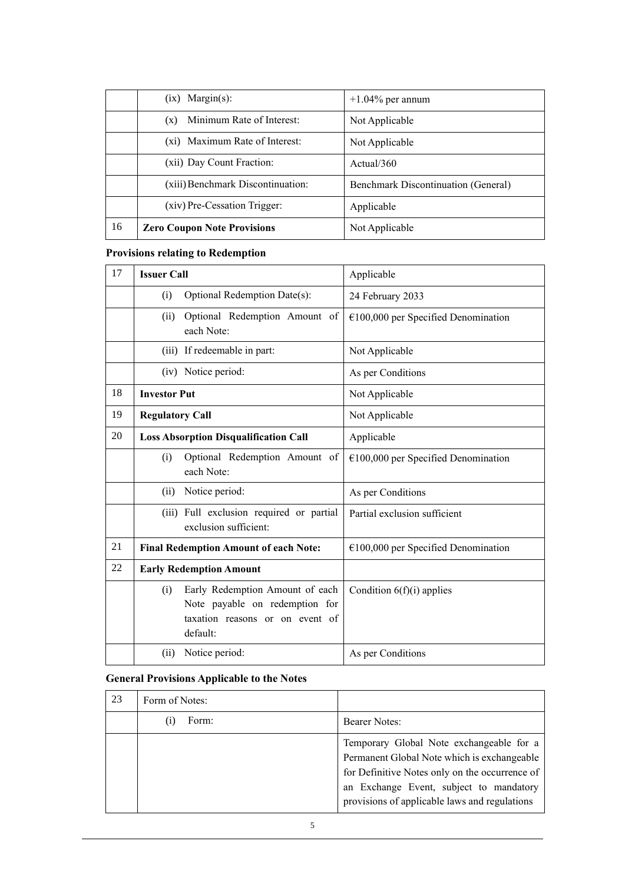|    | $(ix)$ Margin(s):                  | $+1.04\%$ per annum                        |
|----|------------------------------------|--------------------------------------------|
|    | Minimum Rate of Interest:<br>(x)   | Not Applicable                             |
|    | (xi) Maximum Rate of Interest:     | Not Applicable                             |
|    | (xii) Day Count Fraction:          | Actual/360                                 |
|    | (xiii) Benchmark Discontinuation:  | <b>Benchmark Discontinuation (General)</b> |
|    | (xiv) Pre-Cessation Trigger:       | Applicable                                 |
| 16 | <b>Zero Coupon Note Provisions</b> | Not Applicable                             |

# **Provisions relating to Redemption**

| 17 | <b>Issuer Call</b>                                                                                                      | Applicable                            |
|----|-------------------------------------------------------------------------------------------------------------------------|---------------------------------------|
|    | Optional Redemption Date(s):<br>(i)                                                                                     | 24 February 2033                      |
|    | Optional Redemption Amount of<br>(ii)<br>each Note:                                                                     | $€100,000$ per Specified Denomination |
|    | (iii) If redeemable in part:                                                                                            | Not Applicable                        |
|    | (iv) Notice period:                                                                                                     | As per Conditions                     |
| 18 | <b>Investor Put</b>                                                                                                     | Not Applicable                        |
| 19 | <b>Regulatory Call</b>                                                                                                  | Not Applicable                        |
| 20 | <b>Loss Absorption Disqualification Call</b>                                                                            | Applicable                            |
|    | Optional Redemption Amount of<br>(i)<br>each Note:                                                                      | $€100,000$ per Specified Denomination |
|    | Notice period:<br>(ii)                                                                                                  | As per Conditions                     |
|    | (iii) Full exclusion required or partial<br>exclusion sufficient:                                                       | Partial exclusion sufficient          |
| 21 | <b>Final Redemption Amount of each Note:</b>                                                                            | $€100,000$ per Specified Denomination |
| 22 | <b>Early Redemption Amount</b>                                                                                          |                                       |
|    | Early Redemption Amount of each<br>(i)<br>Note payable on redemption for<br>taxation reasons or on event of<br>default: | Condition $6(f)(i)$ applies           |
|    | Notice period:<br>(ii)                                                                                                  | As per Conditions                     |

# **General Provisions Applicable to the Notes**

| 23 | Form of Notes: |                                                                                                                                                                                                                                       |
|----|----------------|---------------------------------------------------------------------------------------------------------------------------------------------------------------------------------------------------------------------------------------|
|    | Form:          | <b>Bearer Notes:</b>                                                                                                                                                                                                                  |
|    |                | Temporary Global Note exchangeable for a<br>Permanent Global Note which is exchangeable<br>for Definitive Notes only on the occurrence of<br>an Exchange Event, subject to mandatory<br>provisions of applicable laws and regulations |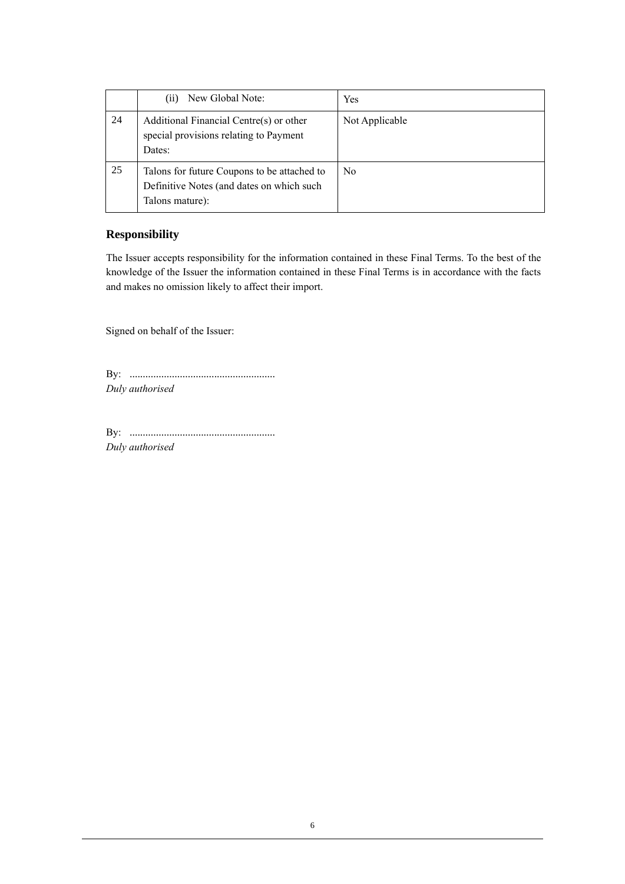|    | New Global Note:<br>(i)                                                                                     | Yes            |
|----|-------------------------------------------------------------------------------------------------------------|----------------|
| 24 | Additional Financial Centre(s) or other<br>special provisions relating to Payment<br>Dates:                 | Not Applicable |
| 25 | Talons for future Coupons to be attached to<br>Definitive Notes (and dates on which such<br>Talons mature): | N <sub>0</sub> |

## **Responsibility**

The Issuer accepts responsibility for the information contained in these Final Terms. To the best of the knowledge of the Issuer the information contained in these Final Terms is in accordance with the facts and makes no omission likely to affect their import.

Signed on behalf of the Issuer:

By: ....................................................... *Duly authorised*

By: ....................................................... *Duly authorised*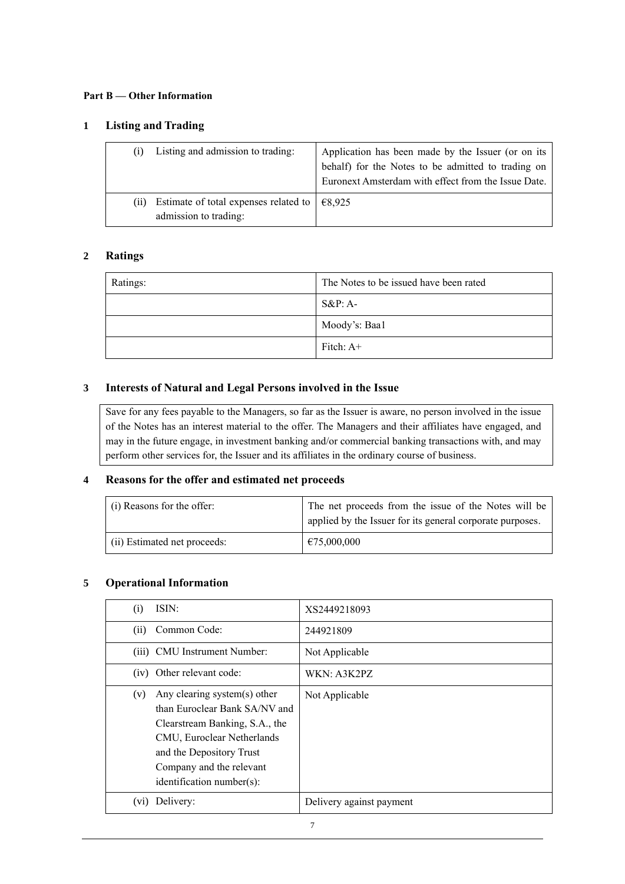#### **Part B — Other Information**

#### **1 Listing and Trading**

|     | Listing and admission to trading:                                                         | Application has been made by the Issuer (or on its<br>behalf) for the Notes to be admitted to trading on<br>Euronext Amsterdam with effect from the Issue Date. |
|-----|-------------------------------------------------------------------------------------------|-----------------------------------------------------------------------------------------------------------------------------------------------------------------|
| (i) | Estimate of total expenses related to $\left  \right. \in 8,925$<br>admission to trading: |                                                                                                                                                                 |

#### **2 Ratings**

| Ratings: | The Notes to be issued have been rated |
|----------|----------------------------------------|
|          | $S\&P: A-$                             |
|          | Moody's: Baa1                          |
|          | Fitch: $A+$                            |

### **3 Interests of Natural and Legal Persons involved in the Issue**

Save for any fees payable to the Managers, so far as the Issuer is aware, no person involved in the issue of the Notes has an interest material to the offer. The Managers and their affiliates have engaged, and may in the future engage, in investment banking and/or commercial banking transactions with, and may perform other services for, the Issuer and its affiliates in the ordinary course of business.

#### **4 Reasons for the offer and estimated net proceeds**

| (i) Reasons for the offer:   | The net proceeds from the issue of the Notes will be<br>applied by the Issuer for its general corporate purposes. |
|------------------------------|-------------------------------------------------------------------------------------------------------------------|
| (ii) Estimated net proceeds: | €75,000,000                                                                                                       |

#### **5 Operational Information**

| (i)  | ISIN:                                                                                                                                                                                                              | XS2449218093             |
|------|--------------------------------------------------------------------------------------------------------------------------------------------------------------------------------------------------------------------|--------------------------|
| (i)  | Common Code:                                                                                                                                                                                                       | 244921809                |
|      | (iii) CMU Instrument Number:                                                                                                                                                                                       | Not Applicable           |
|      | (iv) Other relevant code:                                                                                                                                                                                          | WKN: A3K2PZ              |
| (v)  | Any clearing system(s) other<br>than Euroclear Bank SA/NV and<br>Clearstream Banking, S.A., the<br>CMU, Euroclear Netherlands<br>and the Depository Trust<br>Company and the relevant<br>identification number(s): | Not Applicable           |
| (vi) | Delivery:                                                                                                                                                                                                          | Delivery against payment |